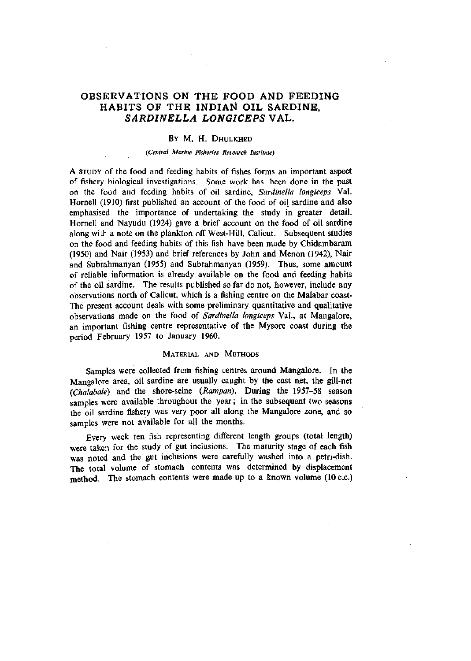# OBSERVATIONS ON THE FOOD AND FEEDING HABITS OF THE INDIAN OIL SARDINE, *SARDINELLA LONGICEPS* VAL.

#### BY M. H. DHULKHED

#### *(Central Marine Fisheries Research Institute)*

*A* STUDY of the food and feeding habits of fishes forms an important aspect of fishery biological investigations. Some work has been done in the past on the food and feeding habits of oil sardine, *Sardinella longiceps* Val. Hornell (1910) first published an account of the food of oil sardine and also emphasised the importance of undertaking the study in greater detail. Hornell and Nayudu (1924) gave a brief account on the food of oil sardine along with a note on the plankton off West-Hill, Calicut. Subsequent studies on the food and feeding habits of this fish have been made by Chidambaram (1950) and Nair (1953) and brief references by John and Menon (1942), Nair and Subrahmanyan (1955) and Subrahmanyan (1959). Thus, some amount of reliable information is already available on the food and feeding habits of the oil sardine. The results published so far do not, however, include any observations north of Calicut, which is a fishing centre on the Malabar coast-The present account deals with some preliminary quantitative and qualitative observations made on the food of *Sardinella longiceps* Val., at Mangalore, an important fishing centre representative of the Mysore coast during the period February 1957 to January 1960.

#### MATERIAL AND METHODS

Samples were collected from fishing centres around Mangalore. In the Mangalore area, oil sardine are usually caught by the cast net, the gill-net *(Chalabale)* and the shore-seine *{Rampan).* During the 1957-58 season samples were available throughout the year; in the subsequent two seasons the oil sardine fishery was very poor all along the Mangalore zone, and so samples were not available for all the months.

Every week ten fish representing different length groups (total length) were taken for the study of gut inclusions. The maturity stage of each fish was noted and the gut inclusions were carefully washed into a petri-dish. The total volume of stomach contents was determined by displacement method. The stomach contents were made up to a known volume (10 c.c.)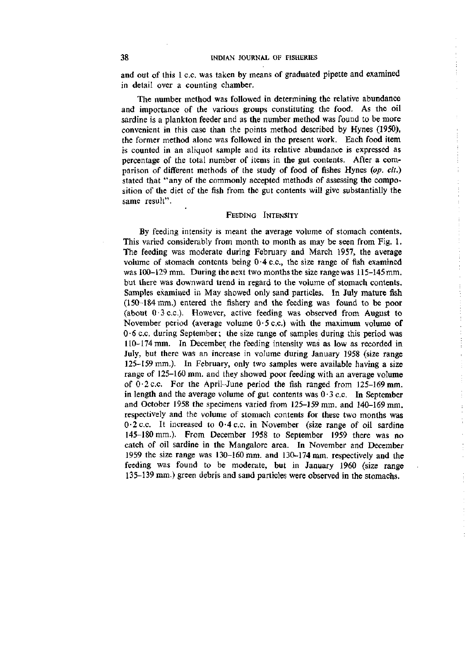and out of this 1 c.c. was taken by means of graduated pipette and examined in detail over a counting chamber.

The number method was followed in determining the relative abundance and importance of the various groups constituting the food. As the oil sardine is a plankton feeder and as the number method was found to be more convenient in this case than the points method described by Hynes (1950), the former method alone was followed in the present work. Each food item is counted in an aliquot sample and its relative abundance is expressed as percentage of the total number of items in the gut contents. After a comparison of different methods of the study of food of fishes Hynes *{op. cit.)*  stated that "any of the commonly accepted methods of assessing the composition of the diet of the fish from the gut contents will give substantially the same result".

### FEEDING INTENSITY

By feeding intensity is meant the average volume of stomach contents. This varied considerably from month to month as may be seen from Fig. 1. The feeding was moderate during February and March 1957, the average volume of stomach contents being  $0.4$  c.c., the size range of fish examined was 100-129 mm. During the next two months the size range was 115-145 mm, but there was downward trend in regard to the volume of stomach contents. Samples examined in May showed only sand particles. In July mature fish (150-184 mm.) entered the fishery and the feeding was found to be poor (about  $0.3$  c.c.). However, active feeding was observed from August to November period (average volume  $0.5$  c.c.) with the maximum volume of 0-6 c.c. during September; the size range of samples during this period was 110-174 mm. In December the feeding intensity was as low as recorded in July, but there was an increase in volume during January 1958 (size range 125-159 mm.). In February, only two samples were available having a size range of 125-160 mm. and they showed poor feeding with an average volume of  $0.2$  c.c. For the April-June period the fish ranged from 125-169 mm. in length and the average volume of gut contents was  $0.3$  c.c. In September and October 1958 the specimens varied from 125-159 mm. and 140-169 mm. respectively and the volume of stomach contents for these two months was  $0.2$  c.c. It increased to  $0.4$  c.c. in November (size range of oil sardine 145-180 mm.). From December 1958 to September 1959 there was no catch of oil sardine in the Mangalore area. In November and December 1959 the size range was 130-160 mm. and 130-174 mm. respectively and the feeding was found to be moderate, but in January 1960 (size range 135-139 mm.) green debris and sand particles were observed in the stomachs.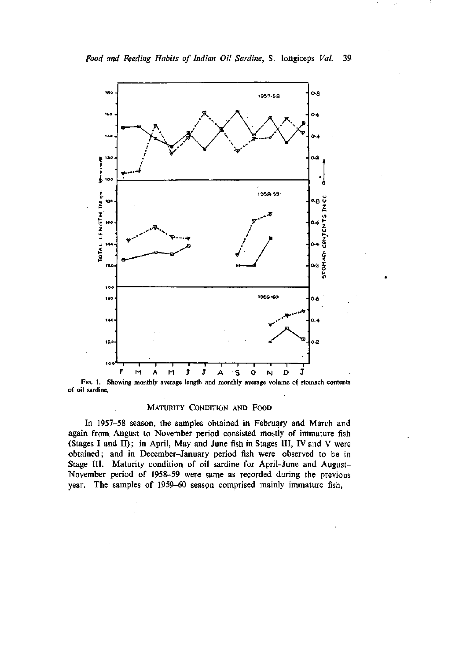

FIG. 1. Showing monthly average length and monthly average volume of stomach contents of oil sardine.

### MATURITY CONDITION AND FOOD

In 1957-58 season, the samples obtained in February and March and again from August to November period consisted mostly of immature fish (Stages I and II); in April, May and June fish in Stages III, IV and V were obtained; and in December-January period fish were observed to be in Stage III. Maturity condition of oil sardine for April-June and August-November period of 1958-59 were same as recorded during the previous year. The samples of 1959-60 season comprised mainly immature fish.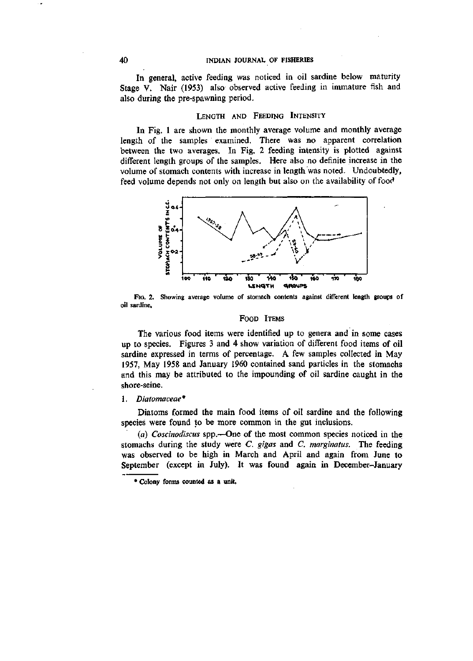#### **40** INDIAN JOURNAL OF FISHERIES

In general, active feeding was noticed in oil sardine below maturity Stage V. Nair (1953) also observed active feeding in immature fish and also during the pre-spawning period.

### LENGTH AND FEEDING INTENSITY

In Fig. 1 are shown the monthly average volume and monthly average length of the samples examined. There was no apparent correlation between the two averages. In Fig. 2 feeding intensity is plotted against different length groups of the samples. Here also no definite increase in the volume of stomach contents with increase in length was noted. Undoubtedly, feed volume depends not only on length but also on the availability of food



Fio. 2. Showing average volume of stomach contents against different length groups of oil sardine.

#### FOOD ITEMS

The various food items were identified up to genera and in some cases up to species. Figures 3 and 4 show variation of different food items of oil sardine expressed in terms of percentage, A few samples collected in May 1957, May 1958 and January 1960 contained sand particles in the stomachs and this may be attributed to the impounding of oil sardine caught in the shore-seine.

#### 1. *Diatomaceae\**

Diatoms formed the main food items of oil sardine and the following species were found to be more common in the gut inclusions.

*{a) Coscinodiscus* spp.—One of the most common species noticed in the stomachs during the study were C. *gigas* and *C. marginatus.* The feeding was observed to be high in March and April and again from June to September (except in July). It was found again in December-January

\* Colony forms counted 9s *9,* unit,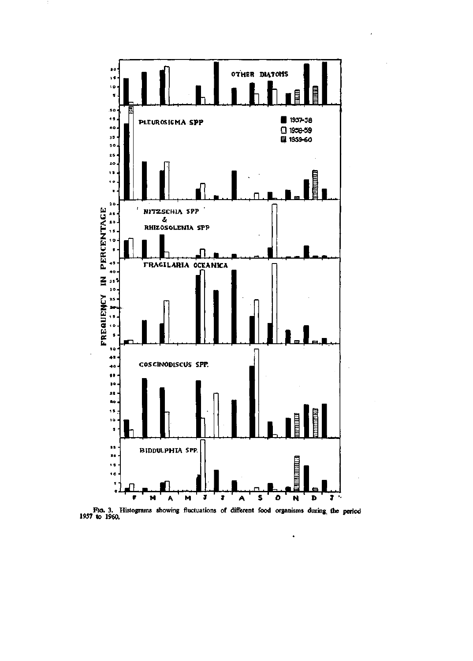

FIG. 3. Histograms showing fluctuations of different food organisms during the period 1957 to 1960.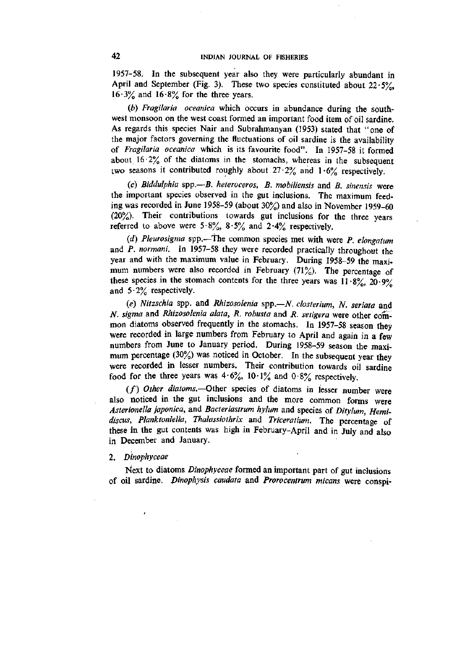1957-58. In the subsequent year also they were particularly abundant in April and September (Fig. 3). These two species constituted about  $22.5\%$ .  $16.3\%$  and  $16.8\%$  for the three years.

*(b) Fragilaria oceanica* which occurs in abundance during the southwest monsoon on the west coast formed an important food item of oil sardine. As regards this species Nair and Subrahmanyan (1953) stated that "one of the major factors governing the fluctuations of oil sardine is the availability of *Fragilaria oceanica* which is its favourite food". In 1957-58 it formed about  $16.2\%$  of the diatoms in the stomachs, whereas in the subsequent two seasons it contributed roughly about  $27.2\%$  and  $1.6\%$  respectively.

(c) *Biddulphia* spp.~5. *heteroceros, B. mobiliensis* and *B. sinensis* were the important species observed in the gut inclusions. The maximum feeding was recorded in June 1958-59 (about 30%) and also in November 1959-60 (20%). Their contributions towards gut inclusions for the three years referred to above were  $5.8\%, 8.5\%$  and  $2.4\%$  respectively.

*(d) Pleurosigma* spp.—the common species met with were *P. elongatum*  and *P. normani.* In 1957-58 they were recorded practically throughout the year and with the maximum value in February. During 1958-59 the maximum numbers were also recorded in February (71%). The percentage of these species in the stomach contents for the three years was  $11 \cdot 8\frac{9}{10}$ ,  $20 \cdot 9\frac{9}{10}$ and  $5.2\%$  respectively.

*(e) Nitzschia* spp. and *Rhizosolenia* spp.-*N. closterium, N. seriata* and *N. Sigma* and *Rhizosolenia alata, R. robusta* and *R. setigera* were other common diatoms observed frequently in the stomachs. In 1957-58 season they were recorded in large numbers from February to April and again in a few numbers from June to January period. During 1958-59 season the maximum percentage  $(30\%)$  was noticed in October. In the subsequent year they were recorded in lesser numbers. Their contribution towards oil sardine food for the three years was  $4.6\%$ ,  $10.1\%$  and  $0.8\%$  respectively.

(f) Other diatoms.--Other species of diatoms in lesser number were also noticed in the gut inclusions and the more common forms were *Asterionella japonica,* and *Bacteriastrum hylum* and species of *Ditylum, Hemidiscus, Planktoniella, Thalassiothrix* and *Triceratium.* The percentage of these in the gut contents was high in February-April and in July and also in December and January.

#### 2. *Dinophyceae*

Next to diatoms *Dinophyceae* formed an important part of gut inclusions of oil sardine. *Dinophysis caudata* and *Prorocentrum micans* were conspi-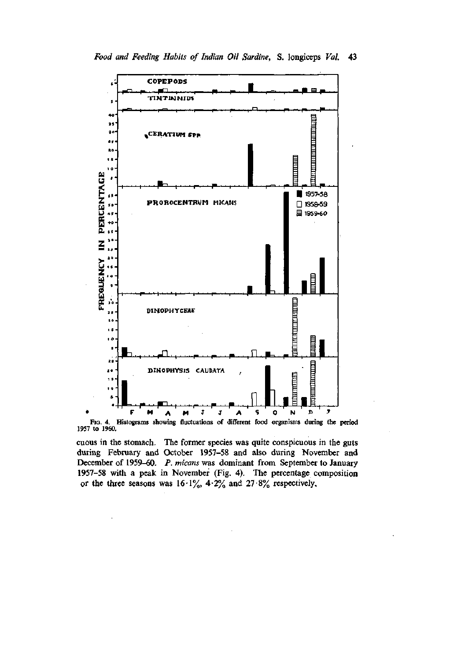



Fig. 4. Histograms showing fluctuations of different food organisms during the period 1957 to 1960.

cuous in the stomach. The former species was quite conspicuous in the guts during February and October 1957-58 and also during November and December of 1959–60. P. micans was dominant from September to January 1957-58 with a peak in November (Fig. 4). The percentage composition or the three seasons was  $16.1\%$ ,  $4.2\%$  and  $27.8\%$  respectively,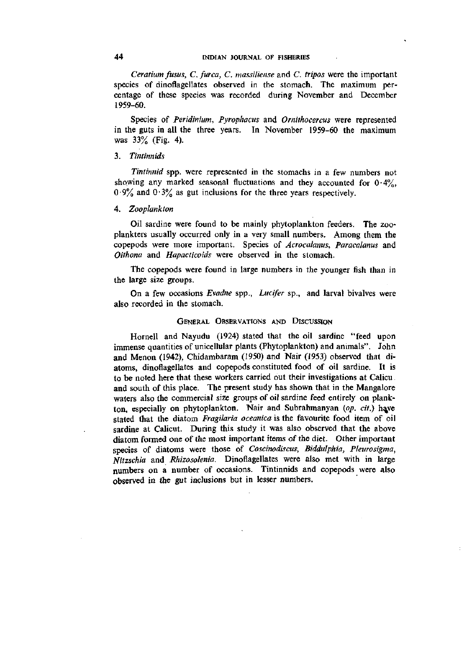*Ceratium fusus, C. furca, C. massiliense* and C. *tripos* were the important species of dinoflagellates observed in the stomach. The maximum percentage of these species was recorded during November and December 1959-60.

Species of *Peridinium, Pyrophacus* and *Omithocercus* were represented in the guts in all the three years. In November 1959-60 the maximum was 33% (Fig. 4).

## 3. *Tintinnids*

*Tintinnid* spp. were represented in the stomachs in a few numbers not showing any marked seasonal fluctuations and they accounted for  $0.4\%$ ,  $0.9\%$  and  $0.3\%$  as gut inclusions for the three years respectively.

#### 4. *Zooplankton*

Oil sardine were found to be mainly phytoplankton feeders. The zooplankters usually occurred only in a very small numbers. Among them the copepods were more important. Species of *Acrocalanus, Paracalanus* and *Oithona* and *Hapacticoids* were observed in the stomach.

The copepods were found in large numbers in the younger fish than in the large size groups.

On a few occasions *Evadne* spp., *Lucifer* sp., and larval bivalves were also recorded in the stomach.

#### GENERAL OBSERVATIONS AND DISCUSSION

Hornell and Nayudu (1924) stated that the oil sardine "feed upon immense quantities of unicellular plants (Phytoplankton) and animals". John and Menon (1942), Chidambaram (1950) and Nair (1953) observed that diatoms, dinoflagellates and copepods constituted food of oil sardine. It is to be noted here that these workers carried out their investigations at Calicu; and south of this place. The present study has shown that in the Mangalore waters also the commercial size groups of oil sardine feed entirely on plankton, especially on phytoplankton. Nair and Subrahmanyan (op. cit.) have stated that the diatom *Fragilaria oceanica* is the favourite food item of oil sardine at Calicut. During this study it was also observed that the above diatom formed one of the most important items of the diet. Other important species of diatoms were those of *Coscinodiscus, Biddulphia, Pleurosigma, Nitzschia* and *Rhizosolenia.* Dinoflagellates were also met with in large numbers on a number of occasions. Tintinnids and copepods were also observed in the gut inclusions but in lesser numbers.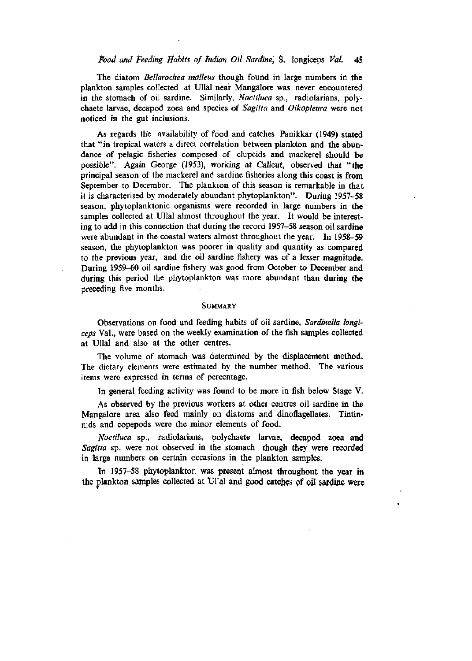### *Pood and Peeding Habits of Indian Oit Sardine,* S. longiceps *Vat.* 4S

The diatom *Bellarochea malleus* though found in large numbers in the plankton samples collected at Ullal near Mangalore was never encountered in the stomach of oil sardine. Similarly, *Noctiluca* sp., radiolarians, polychaete larvae, decapod zoea and species of *Sagitta* and *Oikopleura* were not noticed in the gut inclusions.

As regards the availability of food and catches Panikkar (1949) stated that "in tropical waters a direct correlation between plankton and the abundance of pelagic fisheries composed of clupeids and mackerel should be possible". Again George (1953), working at Calicut, observed that "the principal season of the mackerel and sardine fisheries along this coast is from September to December. The plankton of this season is remarkable in that it is characterised by moderately abundant phytoplankton". During 1957-58 season, phytoplanktonic organisms were recorded in large numbers in the samples collected at Ullal almost throughout the year. It would be interesting to add in this connection that during the record 1957-58 season oil sardine were abundant in the coastal waters almost throughout the year. In 1958-59 season, the phytoplankton was poorer in quality and quantity as compared to the previous year, and the oil sardine fishery was of a lesser magnitude. During 1959-60 oil sardine fishery was good from October to December and during this period the phytoplankton was more abundant than during the preceding five months.

#### **SUMMARY**

Observations on food and feeding habits of oil sardine, *Sardinella longiceps* Val., were based on the weekly examination of the fish samples collected at Ullal and also at the other centres.

The volume of stomach was determined by the displacement method. The dietary elements were estimated by the number method. The various items were expressed in terms of percentage.

In general feeding activity was found to be more in fish below Stage V.

As observed by the previous workers at other centres oil sardine in the Mangalore area also feed mainly on diatoms and dinoflagellates. Tintinnids and copepods were the minor elements of food.

*Noctiluca* sp., radiolarians, polychaete larvae, decapod zoea and *Sagitta* sp. were not observed in the stomach though they were recorded in large numbers on certain occasions in the plankton samples.

In 1957-58 phytoplankton was present almost throughout the year in the plankton samples collected at Ullal and good catches of oil sardine were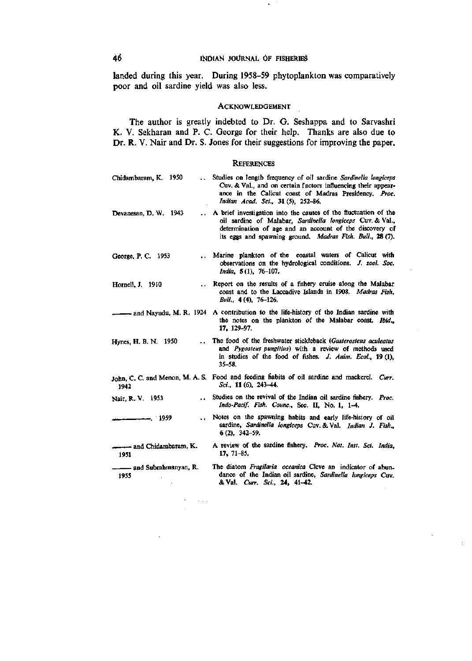.

landed during this year. During 1958-59 phytoplankton was comparatively poor and oil sardine yield was also less.

### ACKNOWLEDGEMENT

The author is greatly indebted to Dr. G. Seshappa and to Sarvashri K. V. Sekharan and P. C. George for their help. Thanks are also due to Dr. R. V. Nair and Dr. S. Jones for their suggestions for improving the paper.

#### **REFERENCES**

| Chidambaram, K. 1950           | Studies on length frequency of oil sardine Sardinella longiceps<br>Cuv. & Val., and on certain factors influencing their appear-<br>ance in the Calicut coast of Madras Presidency. Proc.<br>Indian Acad. Sci., 31 (5), 252-86.                      |
|--------------------------------|------------------------------------------------------------------------------------------------------------------------------------------------------------------------------------------------------------------------------------------------------|
| Devanesan, D. W. 1943          | A brief investigation into the causes of the fluctuation of the<br>oil sardine of Malabar, Sardinella longiceps Cuv. & Val.,<br>determination of age and an account of the discovery of<br>its eggs and spawning ground. Madras Fish. Bull., 28 (7). |
| George, P. C. 1953             | Marine plankton of the coastal waters of Calicut with<br>observations on the hydrological conditions. J. zool. Soc.<br>India, 5(1), 76-107.                                                                                                          |
| Hornell, J. 1910               | Report on the results of a fishery cruise along the Malabar<br>coast and to the Laccadive Islands in 1908. Madras Fish,<br>Bull., 4 (4), 76-126.                                                                                                     |
|                                | and Nayudu, M. R. 1924 A contribution to the life-history of the Indian sardine with<br>the notes on the plankton of the Malabar coast. Ibid.,<br>17, 129-97.                                                                                        |
| Hynes, H. B. N. 1950           | The food of the freshwater stickleback (Gasterosteus aculeatus<br>and Pygosteus pungitius) with a review of methods used<br>in studies of the food of fishes. J. Anim. Ecol., 19(1),<br>$35 - 58.$                                                   |
| 1942                           | John, C. C. and Menon, M. A. S. Food and feeding habits of oil sardine and mackerel. Curr.<br>Sci., 11 $(6)$ , 243-44.                                                                                                                               |
| Nair, R. V. 1953               | Studies on the revival of the Indian oil sardine fishery. Proc.<br>Indo-Pacif. Fish. Counc., Sec. II, No. 1, 1-4.                                                                                                                                    |
| -. 1959                        | Notes on the spawning habits and early life-history of oil<br>sardine, Sardinella longiceps Cuv. & Val. Indian J. Fish.,<br>$6(2)$ , 342–59.                                                                                                         |
| 1951                           | A review of the sardine fishery, Proc. Nat. Inst. Sci. India.<br>$17, 71-85.$                                                                                                                                                                        |
| - and Subrahmanyan, R.<br>1955 | The diatom Fragilaria oceanica Cleve an indicator of abun-<br>dance of the Indian oil sardine, Sardinella longiceps Cuv.<br>& Val. Curr. Sci., 24, 41-42.                                                                                            |

 $\ddot{\phantom{a}}$ 

 $\sim 10^{11}$  and  $\sim 10^{11}$